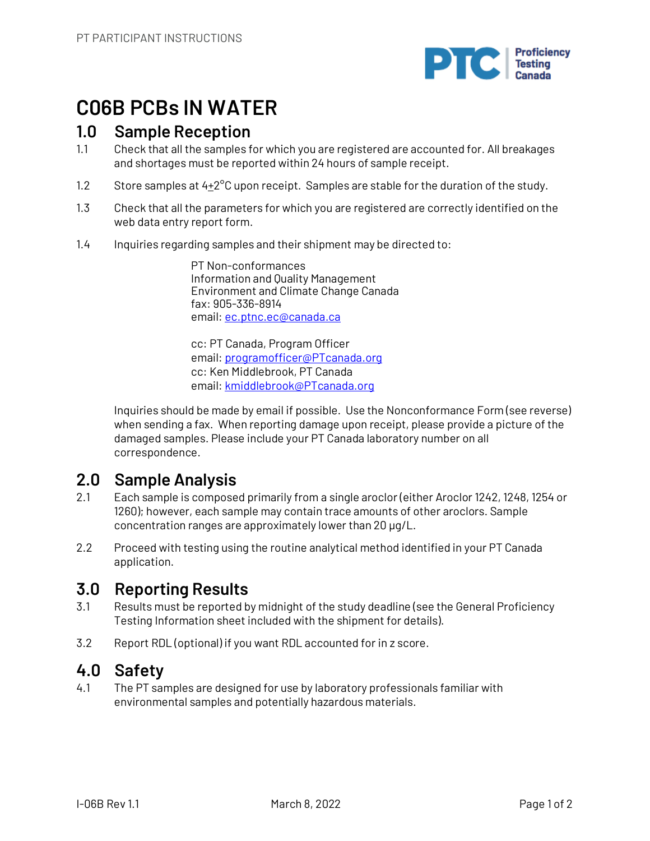

# **C06B PCBs IN WATER**

## **1.0 Sample Reception**

- 1.1 Check that all the samples for which you are registered are accounted for. All breakages and shortages must be reported within 24 hours of sample receipt.
- 1.2 Store samples at 4+2<sup>o</sup>C upon receipt. Samples are stable for the duration of the study.
- 1.3 Check that all the parameters for which you are registered are correctly identified on the web data entry report form.
- 1.4 Inquiries regarding samples and their shipment may be directed to:

PT Non-conformances Information and Quality Management Environment and Climate Change Canada fax: 905-336-8914 email: ec.ptnc.ec@canada.ca

cc: PT Canada, Program Officer email: programofficer@PTcanada.org cc: Ken Middlebrook, PT Canada email: kmiddlebrook@PTcanada.org

Inquiries should be made by email if possible. Use the Nonconformance Form (see reverse) when sending a fax. When reporting damage upon receipt, please provide a picture of the damaged samples. Please include your PT Canada laboratory number on all correspondence.

## **2.0 Sample Analysis**

- 2.1 Each sample is composed primarily from a single aroclor (either Aroclor 1242, 1248, 1254 or 1260); however, each sample may contain trace amounts of other aroclors. Sample concentration ranges are approximately lower than 20 µg/L.
- 2.2 Proceed with testing using the routine analytical method identified in your PT Canada application.

## **3.0 Reporting Results**

- 3.1 Results must be reported by midnight of the study deadline (see the General Proficiency Testing Information sheet included with the shipment for details).
- 3.2 Report RDL (optional) if you want RDL accounted for in z score.

## **4.0 Safety**

4.1 The PT samples are designed for use by laboratory professionals familiar with environmental samples and potentially hazardous materials.